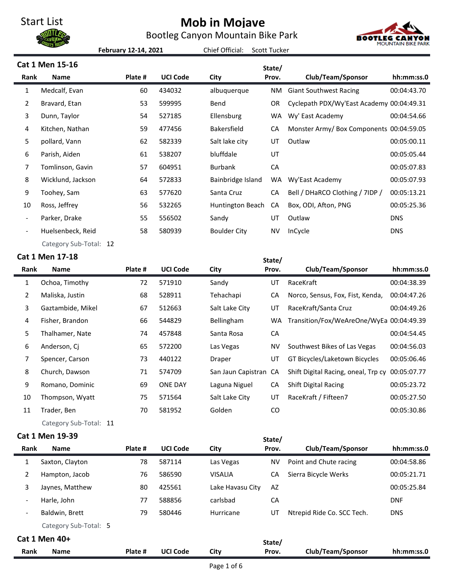Bootleg Canyon Mountain Bike Park



**February 12-14, 2021**

Chief Official: Scott Tucker

|                          | Cat 1 Men 15-16        |         |                 |                       | State/    |                                                 |             |
|--------------------------|------------------------|---------|-----------------|-----------------------|-----------|-------------------------------------------------|-------------|
| Rank                     | <b>Name</b>            | Plate # | <b>UCI Code</b> | City                  | Prov.     | Club/Team/Sponsor                               | hh:mm:ss.0  |
| 1                        | Medcalf, Evan          | 60      | 434032          | albuquerque           | <b>NM</b> | <b>Giant Southwest Racing</b>                   | 00:04:43.70 |
| 2                        | Bravard, Etan          | 53      | 599995          | Bend                  | <b>OR</b> | Cyclepath PDX/Wy'East Academy 00:04:49.31       |             |
| 3                        | Dunn, Taylor           | 54      | 527185          | Ellensburg            | <b>WA</b> | Wy' East Academy                                | 00:04:54.66 |
| 4                        | Kitchen, Nathan        | 59      | 477456          | Bakersfield           | CA        | Monster Army/ Box Components 00:04:59.05        |             |
| 5                        | pollard, Vann          | 62      | 582339          | Salt lake city        | UT        | Outlaw                                          | 00:05:00.11 |
| 6                        | Parish, Aiden          | 61      | 538207          | bluffdale             | UT        |                                                 | 00:05:05.44 |
| 7                        | Tomlinson, Gavin       | 57      | 604951          | <b>Burbank</b>        | CA        |                                                 | 00:05:07.83 |
| 8                        | Wicklund, Jackson      | 64      | 572833          | Bainbridge Island     | <b>WA</b> | Wy'East Academy                                 | 00:05:07.93 |
| 9                        | Toohey, Sam            | 63      | 577620          | Santa Cruz            | CA        | Bell / DHaRCO Clothing / 7IDP /                 | 00:05:13.21 |
| 10                       | Ross, Jeffrey          | 56      | 532265          | Huntington Beach      | CA        | Box, ODI, Afton, PNG                            | 00:05:25.36 |
|                          | Parker, Drake          | 55      | 556502          | Sandy                 | UT        | Outlaw                                          | <b>DNS</b>  |
| $\overline{\phantom{a}}$ | Huelsenbeck, Reid      | 58      | 580939          | <b>Boulder City</b>   | <b>NV</b> | InCycle                                         | <b>DNS</b>  |
|                          | Category Sub-Total: 12 |         |                 |                       |           |                                                 |             |
|                          | Cat 1 Men 17-18        |         |                 |                       | State/    |                                                 |             |
| Rank                     | <b>Name</b>            | Plate # | <b>UCI Code</b> | City                  | Prov.     | Club/Team/Sponsor                               | hh:mm:ss.0  |
| $\mathbf{1}$             | Ochoa, Timothy         | 72      | 571910          | Sandy                 | UT        | RaceKraft                                       | 00:04:38.39 |
| 2                        | Maliska, Justin        | 68      | 528911          | Tehachapi             | CA        | Norco, Sensus, Fox, Fist, Kenda,                | 00:04:47.26 |
| 3                        | Gaztambide, Mikel      | 67      | 512663          | Salt Lake City        | UT        | RaceKraft/Santa Cruz                            | 00:04:49.26 |
| 4                        | Fisher, Brandon        | 66      | 544829          | Bellingham            | <b>WA</b> | Transition/Fox/WeAreOne/WyEa 00:04:49.39        |             |
| 5                        | Thalhamer, Nate        | 74      | 457848          | Santa Rosa            | CA        |                                                 | 00:04:54.45 |
| 6                        | Anderson, Cj           | 65      | 572200          | Las Vegas             | <b>NV</b> | Southwest Bikes of Las Vegas                    | 00:04:56.03 |
| 7                        | Spencer, Carson        | 73      | 440122          | Draper                | UT        | GT Bicycles/Laketown Bicycles                   | 00:05:06.46 |
| 8                        | Church, Dawson         | 71      | 574709          | San Jaun Capistran CA |           | Shift Digital Racing, oneal, Trp cy 00:05:07.77 |             |

 Romano, Dominic 69 ONE DAY Laguna Niguel CA Shift Digital Racing 00:05:23.72 Thompson, Wyatt 75 571564 Salt Lake City UT RaceKraft / Fifteen7 00:05:27.50 Trader, Ben 70 581952 Golden CO 00:05:30.86 Category Sub-Total: 11

## **Cat 1 Men 19-39**

| <b>Cat 1 Men 19-39</b>   |                       |         |                 |                  | State/ |                            |             |
|--------------------------|-----------------------|---------|-----------------|------------------|--------|----------------------------|-------------|
| Rank                     | <b>Name</b>           | Plate # | <b>UCI Code</b> | City             | Prov.  | Club/Team/Sponsor          | hh:mm:ss.0  |
| 1                        | Saxton, Clayton       | 78      | 587114          | Las Vegas        | ΝV     | Point and Chute racing     | 00:04:58.86 |
| 2                        | Hampton, Jacob        | 76      | 586590          | <b>VISALIA</b>   | CA     | Sierra Bicycle Werks       | 00:05:21.71 |
| 3                        | Jaynes, Matthew       | 80      | 425561          | Lake Havasu City | AZ     |                            | 00:05:25.84 |
| $\overline{\phantom{a}}$ | Harle, John           | 77      | 588856          | carlsbad         | CA     |                            | <b>DNF</b>  |
| $\overline{\phantom{a}}$ | Baldwin, Brett        | 79      | 580446          | Hurricane        | UT     | Ntrepid Ride Co. SCC Tech. | <b>DNS</b>  |
|                          | Category Sub-Total: 5 |         |                 |                  |        |                            |             |
|                          | Cat 1 Men 40+         |         |                 |                  | State/ |                            |             |
| Rank                     | <b>Name</b>           | Plate # | <b>UCI Code</b> | City             | Prov.  | Club/Team/Sponsor          | hh:mm:ss.0  |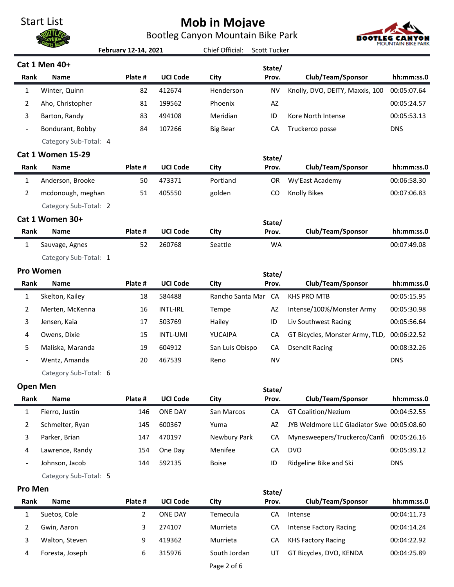Bootleg Canyon Mountain Bike Park



|                          |                          | February 12-14, 2021 |                 | Chief Official:     | <b>Scott Tucker</b> |                                            |             |
|--------------------------|--------------------------|----------------------|-----------------|---------------------|---------------------|--------------------------------------------|-------------|
|                          | Cat 1 Men 40+            |                      |                 |                     | State/              |                                            |             |
| Rank                     | <b>Name</b>              | Plate #              | <b>UCI Code</b> | City                | Prov.               | Club/Team/Sponsor                          | hh:mm:ss.0  |
| $\mathbf{1}$             | Winter, Quinn            | 82                   | 412674          | Henderson           | <b>NV</b>           | Knolly, DVO, DEITY, Maxxis, 100            | 00:05:07.64 |
| $\overline{2}$           | Aho, Christopher         | 81                   | 199562          | Phoenix             | AZ                  |                                            | 00:05:24.57 |
| 3                        | Barton, Randy            | 83                   | 494108          | Meridian            | ID                  | Kore North Intense                         | 00:05:53.13 |
| $\overline{\phantom{0}}$ | Bondurant, Bobby         | 84                   | 107266          | <b>Big Bear</b>     | CA                  | Truckerco posse                            | <b>DNS</b>  |
|                          | Category Sub-Total: 4    |                      |                 |                     |                     |                                            |             |
|                          | <b>Cat 1 Women 15-29</b> |                      |                 |                     | State/              |                                            |             |
| Rank                     | <b>Name</b>              | Plate #              | <b>UCI Code</b> | City                | Prov.               | Club/Team/Sponsor                          | hh:mm:ss.0  |
| $\mathbf{1}$             | Anderson, Brooke         | 50                   | 473371          | Portland            | <b>OR</b>           | Wy'East Academy                            | 00:06:58.30 |
| $\overline{2}$           | mcdonough, meghan        | 51                   | 405550          | golden              | CO                  | <b>Knolly Bikes</b>                        | 00:07:06.83 |
|                          | Category Sub-Total: 2    |                      |                 |                     |                     |                                            |             |
|                          | Cat 1 Women 30+          |                      |                 |                     | State/              |                                            |             |
| Rank                     | <b>Name</b>              | Plate #              | <b>UCI Code</b> | City                | Prov.               | Club/Team/Sponsor                          | hh:mm:ss.0  |
| $\mathbf{1}$             | Sauvage, Agnes           | 52                   | 260768          | Seattle             | <b>WA</b>           |                                            | 00:07:49.08 |
|                          | Category Sub-Total: 1    |                      |                 |                     |                     |                                            |             |
|                          | <b>Pro Women</b>         |                      |                 |                     | State/              |                                            |             |
| Rank                     | <b>Name</b>              | Plate #              | <b>UCI Code</b> | City                | Prov.               | Club/Team/Sponsor                          | hh:mm:ss.0  |
| $\mathbf{1}$             | Skelton, Kailey          | 18                   | 584488          | Rancho Santa Mar CA |                     | <b>KHS PRO MTB</b>                         | 00:05:15.95 |
| 2                        | Merten, McKenna          | 16                   | <b>INTL-IRL</b> | Tempe               | AZ                  | Intense/100%/Monster Army                  | 00:05:30.98 |
| 3                        | Jensen, Kaia             | 17                   | 503769          | Hailey              | ID                  | Liv Southwest Racing                       | 00:05:56.64 |
| 4                        | Owens, Dixie             | 15                   | INTL-UMI        | YUCAIPA             | CA                  | GT Bicycles, Monster Army, TLD,            | 00:06:22.52 |
| 5                        | Maliska, Maranda         | 19                   | 604912          | San Luis Obispo     | CA                  | <b>DsendIt Racing</b>                      | 00:08:32.26 |
| $\overline{\phantom{a}}$ | Wentz, Amanda            | 20                   | 467539          | Reno                | <b>NV</b>           |                                            | <b>DNS</b>  |
|                          | Category Sub-Total: 6    |                      |                 |                     |                     |                                            |             |
| <b>Open Men</b>          |                          |                      |                 |                     | State/              |                                            |             |
| Rank                     | Name                     | Plate #              | <b>UCI Code</b> | City                | Prov.               | Club/Team/Sponsor                          | hh:mm:ss.0  |
| $\mathbf{1}$             | Fierro, Justin           | 146                  | <b>ONE DAY</b>  | San Marcos          | CA                  | <b>GT Coalition/Nezium</b>                 | 00:04:52.55 |
| 2                        | Schmelter, Ryan          | 145                  | 600367          | Yuma                | AZ                  | JYB Weldmore LLC Gladiator Swe 00:05:08.60 |             |
| 3                        | Parker, Brian            | 147                  | 470197          | Newbury Park        | CA                  | Mynesweepers/Truckerco/Canfi 00:05:26.16   |             |
| 4                        | Lawrence, Randy          | 154                  | One Day         | Menifee             | CA                  | <b>DVO</b>                                 | 00:05:39.12 |
| $\overline{a}$           | Johnson, Jacob           | 144                  | 592135          | <b>Boise</b>        | ID                  | Ridgeline Bike and Ski                     | <b>DNS</b>  |
|                          | Category Sub-Total: 5    |                      |                 |                     |                     |                                            |             |
| Pro Men                  |                          |                      |                 |                     | State/              |                                            |             |
| Rank                     | <b>Name</b>              | Plate #              | <b>UCI Code</b> | City                | Prov.               | Club/Team/Sponsor                          | hh:mm:ss.0  |
| $\mathbf{1}$             | Suetos, Cole             | 2                    | <b>ONE DAY</b>  | Temecula            | CA                  | Intense                                    | 00:04:11.73 |
| 2                        | Gwin, Aaron              | 3                    | 274107          | Murrieta            | CA                  | <b>Intense Factory Racing</b>              | 00:04:14.24 |
| 3                        | Walton, Steven           | 9                    | 419362          | Murrieta            | CA                  | <b>KHS Factory Racing</b>                  | 00:04:22.92 |
| 4                        | Foresta, Joseph          | 6                    | 315976          | South Jordan        | UT                  | GT Bicycles, DVO, KENDA                    | 00:04:25.89 |
|                          |                          |                      |                 | Page 2 of 6         |                     |                                            |             |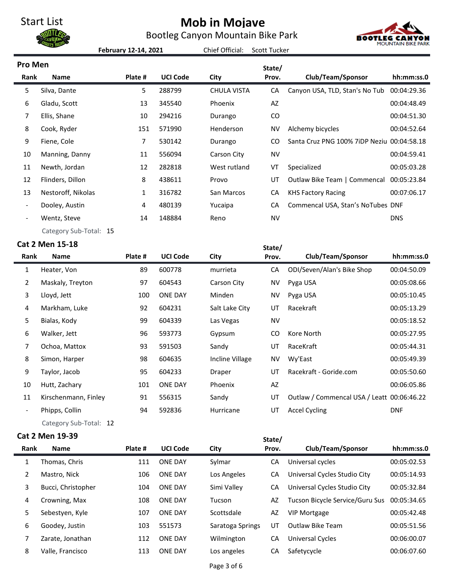Bootleg Canyon Mountain Bike Park



**February 12-14, 2021**

Chief Official: Scott Tucker

| <b>Pro Men</b>           |                        |         |                 |                    | State/        |                                            |             |
|--------------------------|------------------------|---------|-----------------|--------------------|---------------|--------------------------------------------|-------------|
| Rank                     | <b>Name</b>            | Plate # | <b>UCI Code</b> | City               | Prov.         | Club/Team/Sponsor                          | hh:mm:ss.0  |
| 5.                       | Silva, Dante           | 5       | 288799          | <b>CHULA VISTA</b> | CA            | Canyon USA, TLD, Stan's No Tub             | 00:04:29.36 |
| 6                        | Gladu, Scott           | 13      | 345540          | Phoenix            | AZ            |                                            | 00:04:48.49 |
| 7                        | Ellis, Shane           | 10      | 294216          | Durango            | CO            |                                            | 00:04:51.30 |
| 8                        | Cook, Ryder            | 151     | 571990          | Henderson          | <b>NV</b>     | Alchemy bicycles                           | 00:04:52.64 |
| 9                        | Fiene, Cole            | 7       | 530142          | Durango            | <sub>CO</sub> | Santa Cruz PNG 100% 7iDP Neziu 00:04:58.18 |             |
| 10                       | Manning, Danny         | 11      | 556094          | Carson City        | <b>NV</b>     |                                            | 00:04:59.41 |
| 11                       | Newth, Jordan          | 12      | 282818          | West rutland       | VT            | Specialized                                | 00:05:03.28 |
| 12                       | Flinders, Dillon       | 8       | 438611          | Provo              | UT            | Outlaw Bike Team   Commencal               | 00:05:23.84 |
| 13                       | Nestoroff, Nikolas     | 1       | 316782          | San Marcos         | CA            | <b>KHS Factory Racing</b>                  | 00:07:06.17 |
| $\overline{\phantom{a}}$ | Dooley, Austin         | 4       | 480139          | Yucaipa            | CA            | Commencal USA, Stan's NoTubes DNF          |             |
|                          | Wentz, Steve           | 14      | 148884          | Reno               | <b>NV</b>     |                                            | <b>DNS</b>  |
|                          | Category Sub-Total: 15 |         |                 |                    |               |                                            |             |

## **Cat 2 Men 15-18**

|                | .at 2 Men 15-18      |         |                 |                 | State/    |                                            |             |
|----------------|----------------------|---------|-----------------|-----------------|-----------|--------------------------------------------|-------------|
| Rank           | <b>Name</b>          | Plate # | <b>UCI Code</b> | City            | Prov.     | Club/Team/Sponsor                          | hh:mm:ss.0  |
| 1              | Heater, Von          | 89      | 600778          | murrieta        | CA        | ODI/Seven/Alan's Bike Shop                 | 00:04:50.09 |
| $\overline{2}$ | Maskaly, Treyton     | 97      | 604543          | Carson City     | NV        | Pyga USA                                   | 00:05:08.66 |
| 3              | Lloyd, Jett          | 100     | <b>ONE DAY</b>  | Minden          | NV        | Pyga USA                                   | 00:05:10.45 |
| 4              | Markham, Luke        | 92      | 604231          | Salt Lake City  | UT        | Racekraft                                  | 00:05:13.29 |
| 5              | Bialas, Kody         | 99      | 604339          | Las Vegas       | <b>NV</b> |                                            | 00:05:18.52 |
| 6              | Walker, Jett         | 96      | 593773          | Gypsum          | CO        | Kore North                                 | 00:05:27.95 |
| 7              | Ochoa, Mattox        | 93      | 591503          | Sandy           | UT        | RaceKraft                                  | 00:05:44.31 |
| 8              | Simon, Harper        | 98      | 604635          | Incline Village | NV        | Wy'East                                    | 00:05:49.39 |
| 9              | Taylor, Jacob        | 95      | 604233          | Draper          | UT        | Racekraft - Goride.com                     | 00:05:50.60 |
| 10             | Hutt, Zachary        | 101     | <b>ONE DAY</b>  | Phoenix         | AZ        |                                            | 00:06:05.86 |
| 11             | Kirschenmann, Finley | 91      | 556315          | Sandy           | UT        | Outlaw / Commencal USA / Leatt 00:06:46.22 |             |
|                | Phipps, Collin       | 94      | 592836          | Hurricane       | UT        | <b>Accel Cycling</b>                       | <b>DNF</b>  |
|                |                      |         |                 |                 |           |                                            |             |

Category Sub-Total: 12

## **Cat 2 Men 19-39**

|                | at 2 Men 19-39     |         |                 |                  | State/ |                                 |             |
|----------------|--------------------|---------|-----------------|------------------|--------|---------------------------------|-------------|
| Rank           | <b>Name</b>        | Plate # | <b>UCI Code</b> | City             | Prov.  | Club/Team/Sponsor               | hh:mm:ss.0  |
| $\mathbf{1}$   | Thomas, Chris      | 111     | <b>ONE DAY</b>  | Sylmar           | СA     | Universal cycles                | 00:05:02.53 |
| $\overline{2}$ | Mastro, Nick       | 106     | <b>ONE DAY</b>  | Los Angeles      | СA     | Universal Cycles Studio City    | 00:05:14.93 |
| 3              | Bucci, Christopher | 104     | <b>ONE DAY</b>  | Simi Valley      | СA     | Universal Cycles Studio City    | 00:05:32.84 |
| 4              | Crowning, Max      | 108     | <b>ONE DAY</b>  | Tucson           | AZ     | Tucson Bicycle Service/Guru Sus | 00:05:34.65 |
| 5              | Sebestyen, Kyle    | 107     | <b>ONE DAY</b>  | Scottsdale       | AZ     | <b>VIP Mortgage</b>             | 00:05:42.48 |
| 6              | Goodey, Justin     | 103     | 551573          | Saratoga Springs | UT     | <b>Outlaw Bike Team</b>         | 00:05:51.56 |
| 7              | Zarate, Jonathan   | 112     | <b>ONE DAY</b>  | Wilmington       | CA     | <b>Universal Cycles</b>         | 00:06:00.07 |
| 8              | Valle, Francisco   | 113     | <b>ONE DAY</b>  | Los angeles      | CA     | Safetycycle                     | 00:06:07.60 |
|                |                    |         |                 |                  |        |                                 |             |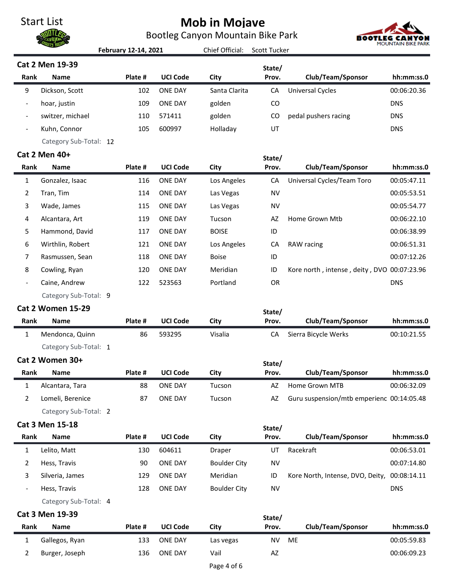Bootleg Canyon Mountain Bike Park



|                          |                          | February 12-14, 2021 |                 | Chief Official:     | <b>Scott Tucker</b> |                                             | <b>MOUNTAIN BIKE PARK</b> |
|--------------------------|--------------------------|----------------------|-----------------|---------------------|---------------------|---------------------------------------------|---------------------------|
|                          | Cat 2 Men 19-39          |                      |                 |                     | State/              |                                             |                           |
| Rank                     | <b>Name</b>              | Plate #              | <b>UCI Code</b> | City                | Prov.               | Club/Team/Sponsor                           | hh:mm:ss.0                |
| 9                        | Dickson, Scott           | 102                  | <b>ONE DAY</b>  | Santa Clarita       | CA                  | <b>Universal Cycles</b>                     | 00:06:20.36               |
| $\overline{\phantom{0}}$ | hoar, justin             | 109                  | <b>ONE DAY</b>  | golden              | CO                  |                                             | <b>DNS</b>                |
| $\overline{\phantom{a}}$ | switzer, michael         | 110                  | 571411          | golden              | CO                  | pedal pushers racing                        | <b>DNS</b>                |
| $\overline{\phantom{0}}$ | Kuhn, Connor             | 105                  | 600997          | Holladay            | UT                  |                                             | <b>DNS</b>                |
|                          | Category Sub-Total: 12   |                      |                 |                     |                     |                                             |                           |
|                          | Cat 2 Men 40+            |                      |                 |                     | State/              |                                             |                           |
| Rank                     | <b>Name</b>              | Plate #              | <b>UCI Code</b> | City                | Prov.               | Club/Team/Sponsor                           | hh:mm:ss.0                |
| $\mathbf{1}$             | Gonzalez, Isaac          | 116                  | <b>ONE DAY</b>  | Los Angeles         | CA                  | Universal Cycles/Team Toro                  | 00:05:47.11               |
| 2                        | Tran, Tim                | 114                  | <b>ONE DAY</b>  | Las Vegas           | <b>NV</b>           |                                             | 00:05:53.51               |
| 3                        | Wade, James              | 115                  | <b>ONE DAY</b>  | Las Vegas           | <b>NV</b>           |                                             | 00:05:54.77               |
| 4                        | Alcantara, Art           | 119                  | <b>ONE DAY</b>  | Tucson              | AZ                  | Home Grown Mtb                              | 00:06:22.10               |
| 5                        | Hammond, David           | 117                  | <b>ONE DAY</b>  | <b>BOISE</b>        | ID                  |                                             | 00:06:38.99               |
| 6                        | Wirthlin, Robert         | 121                  | <b>ONE DAY</b>  | Los Angeles         | CA                  | RAW racing                                  | 00:06:51.31               |
| 7                        | Rasmussen, Sean          | 118                  | <b>ONE DAY</b>  | <b>Boise</b>        | ID                  |                                             | 00:07:12.26               |
| 8                        | Cowling, Ryan            | 120                  | <b>ONE DAY</b>  | Meridian            | ID                  | Kore north, intense, deity, DVO 00:07:23.96 |                           |
|                          | Caine, Andrew            | 122                  | 523563          | Portland            | OR                  |                                             | <b>DNS</b>                |
|                          | Category Sub-Total: 9    |                      |                 |                     |                     |                                             |                           |
|                          | <b>Cat 2 Women 15-29</b> |                      |                 |                     | State/              |                                             |                           |
| Rank                     | <b>Name</b>              | Plate #              | <b>UCI Code</b> | City                | Prov.               | Club/Team/Sponsor                           | hh:mm:ss.0                |
| 1                        | Mendonca, Quinn          | 86                   | 593295          | Visalia             | CA                  | Sierra Bicycle Werks                        | 00:10:21.55               |
|                          | Category Sub-Total: 1    |                      |                 |                     |                     |                                             |                           |
|                          | Cat 2 Women 30+          |                      |                 |                     | State/              |                                             |                           |
| Rank                     | Name                     | Plate #              | <b>UCI Code</b> | City                | Prov.               | Club/Team/Sponsor                           | hh:mm:ss.0                |
| $\mathbf{1}$             | Alcantara, Tara          | 88                   | <b>ONE DAY</b>  | Tucson              | AZ                  | Home Grown MTB                              | 00:06:32.09               |
| $\overline{2}$           | Lomeli, Berenice         | 87                   | <b>ONE DAY</b>  | Tucson              | AZ                  | Guru suspension/mtb emperienc 00:14:05.48   |                           |
|                          | Category Sub-Total: 2    |                      |                 |                     |                     |                                             |                           |
|                          | Cat 3 Men 15-18          |                      |                 |                     | State/              |                                             |                           |
| Rank                     | Name                     | Plate #              | <b>UCI Code</b> | City                | Prov.               | Club/Team/Sponsor                           | hh:mm:ss.0                |
| $\mathbf{1}$             | Lelito, Matt             | 130                  | 604611          | Draper              | UT                  | Racekraft                                   | 00:06:53.01               |
| 2                        | Hess, Travis             | 90                   | <b>ONE DAY</b>  | <b>Boulder City</b> | <b>NV</b>           |                                             | 00:07:14.80               |
| 3                        | Silveria, James          | 129                  | <b>ONE DAY</b>  | Meridian            | ID                  | Kore North, Intense, DVO, Deity,            | 00:08:14.11               |
|                          | Hess, Travis             | 128                  | <b>ONE DAY</b>  | <b>Boulder City</b> | <b>NV</b>           |                                             | <b>DNS</b>                |
|                          | Category Sub-Total: 4    |                      |                 |                     |                     |                                             |                           |
|                          | <b>Cat 3 Men 19-39</b>   |                      |                 |                     | State/              |                                             |                           |
| Rank                     | Name                     | Plate #              | <b>UCI Code</b> | City                | Prov.               | Club/Team/Sponsor                           | hh:mm:ss.0                |
| $\mathbf{1}$             | Gallegos, Ryan           | 133                  | <b>ONE DAY</b>  | Las vegas           | <b>NV</b>           | ME                                          | 00:05:59.83               |
| 2                        | Burger, Joseph           | 136                  | <b>ONE DAY</b>  | Vail                | AZ                  |                                             | 00:06:09.23               |
|                          |                          |                      |                 |                     |                     |                                             |                           |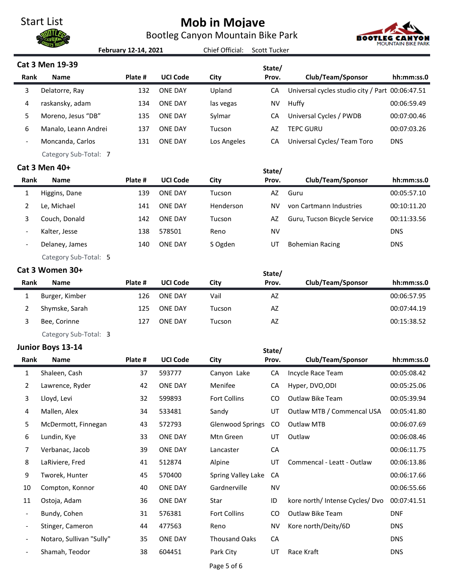Bootleg Canyon Mountain Bike Park



|                              |                          | February 12-14, 2021 |                 | Chief Official:         | <b>Scott Tucker</b> |                                                 |             |
|------------------------------|--------------------------|----------------------|-----------------|-------------------------|---------------------|-------------------------------------------------|-------------|
|                              | <b>Cat 3 Men 19-39</b>   |                      |                 |                         | State/              |                                                 |             |
| Rank                         | <b>Name</b>              | Plate #              | <b>UCI Code</b> | City                    | Prov.               | Club/Team/Sponsor                               | hh:mm:ss.0  |
| 3                            | Delatorre, Ray           | 132                  | <b>ONE DAY</b>  | Upland                  | CA                  | Universal cycles studio city / Part 00:06:47.51 |             |
| 4                            | raskansky, adam          | 134                  | <b>ONE DAY</b>  | las vegas               | <b>NV</b>           | Huffy                                           | 00:06:59.49 |
| 5                            | Moreno, Jesus "DB"       | 135                  | <b>ONE DAY</b>  | Sylmar                  | CA                  | Universal Cycles / PWDB                         | 00:07:00.46 |
| 6                            | Manalo, Leann Andrei     | 137                  | <b>ONE DAY</b>  | Tucson                  | AZ                  | <b>TEPC GURU</b>                                | 00:07:03.26 |
|                              | Moncanda, Carlos         | 131                  | <b>ONE DAY</b>  | Los Angeles             | CA                  | Universal Cycles/ Team Toro                     | <b>DNS</b>  |
|                              | Category Sub-Total: 7    |                      |                 |                         |                     |                                                 |             |
|                              | Cat 3 Men 40+            |                      |                 |                         | State/              |                                                 |             |
| Rank                         | <b>Name</b>              | Plate #              | <b>UCI Code</b> | City                    | Prov.               | Club/Team/Sponsor                               | hh:mm:ss.0  |
| 1                            | Higgins, Dane            | 139                  | <b>ONE DAY</b>  | Tucson                  | AZ                  | Guru                                            | 00:05:57.10 |
| 2                            | Le, Michael              | 141                  | <b>ONE DAY</b>  | Henderson               | <b>NV</b>           | von Cartmann Industries                         | 00:10:11.20 |
| 3                            | Couch, Donald            | 142                  | <b>ONE DAY</b>  | Tucson                  | AZ                  | Guru, Tucson Bicycle Service                    | 00:11:33.56 |
|                              | Kalter, Jesse            | 138                  | 578501          | Reno                    | <b>NV</b>           |                                                 | <b>DNS</b>  |
| $\qquad \qquad -$            | Delaney, James           | 140                  | <b>ONE DAY</b>  | S Ogden                 | UT                  | <b>Bohemian Racing</b>                          | <b>DNS</b>  |
|                              | Category Sub-Total: 5    |                      |                 |                         |                     |                                                 |             |
|                              | Cat 3 Women 30+          |                      |                 |                         | State/              |                                                 |             |
| <b>Rank</b>                  | <b>Name</b>              | Plate #              | <b>UCI Code</b> | City                    | Prov.               | Club/Team/Sponsor                               | hh:mm:ss.0  |
| 1                            | Burger, Kimber           | 126                  | <b>ONE DAY</b>  | Vail                    | AZ                  |                                                 | 00:06:57.95 |
| 2                            | Shymske, Sarah           | 125                  | <b>ONE DAY</b>  | Tucson                  | AZ                  |                                                 | 00:07:44.19 |
| 3                            | Bee, Corinne             | 127                  | <b>ONE DAY</b>  | Tucson                  | AZ                  |                                                 | 00:15:38.52 |
|                              | Category Sub-Total: 3    |                      |                 |                         |                     |                                                 |             |
|                              | Junior Boys 13-14        |                      |                 |                         | State/              |                                                 |             |
| Rank                         | <b>Name</b>              | Plate #              | <b>UCI Code</b> | City                    | Prov.               | Club/Team/Sponsor                               | hh:mm:ss.0  |
| $\mathbf{1}$                 | Shaleen, Cash            | 37                   | 593777          | Canyon Lake             | CA                  | Incycle Race Team                               | 00:05:08.42 |
| $\overline{2}$               | Lawrence, Ryder          | 42                   | <b>ONE DAY</b>  | Menifee                 | CA                  | Hyper, DVO, ODI                                 | 00:05:25.06 |
| 3                            | Lloyd, Levi              | 32                   | 599893          | <b>Fort Collins</b>     | CO                  | Outlaw Bike Team                                | 00:05:39.94 |
| 4                            | Mallen, Alex             | 34                   | 533481          | Sandy                   | UT                  | Outlaw MTB / Commencal USA                      | 00:05:41.80 |
| 5                            | McDermott, Finnegan      | 43                   | 572793          | <b>Glenwood Springs</b> | CO                  | Outlaw MTB                                      | 00:06:07.69 |
| 6                            | Lundin, Kye              | 33                   | <b>ONE DAY</b>  | Mtn Green               | UT                  | Outlaw                                          | 00:06:08.46 |
| 7                            | Verbanac, Jacob          | 39                   | <b>ONE DAY</b>  | Lancaster               | CA                  |                                                 | 00:06:11.75 |
| 8                            | LaRiviere, Fred          | 41                   | 512874          | Alpine                  | UT                  | Commencal - Leatt - Outlaw                      | 00:06:13.86 |
| 9                            | Tworek, Hunter           | 45                   | 570400          | Spring Valley Lake      | CA                  |                                                 | 00:06:17.66 |
| 10                           | Compton, Konnor          | 40                   | <b>ONE DAY</b>  | Gardnerville            | <b>NV</b>           |                                                 | 00:06:55.66 |
| 11                           | Ostoja, Adam             | 36                   | <b>ONE DAY</b>  | Star                    | ID                  | kore north/ Intense Cycles/ Dvo                 | 00:07:41.51 |
| $\qquad \qquad \blacksquare$ | Bundy, Cohen             | 31                   | 576381          | Fort Collins            | CO                  | Outlaw Bike Team                                | <b>DNF</b>  |
| $\overline{\phantom{m}}$     | Stinger, Cameron         | 44                   | 477563          | Reno                    | <b>NV</b>           | Kore north/Deity/6D                             | <b>DNS</b>  |
| $\overline{\phantom{a}}$     | Notaro, Sullivan "Sully" | 35                   | ONE DAY         | <b>Thousand Oaks</b>    | CA                  |                                                 | <b>DNS</b>  |
| $\overline{\phantom{a}}$     | Shamah, Teodor           | 38                   | 604451          | Park City               | UT                  | Race Kraft                                      | <b>DNS</b>  |